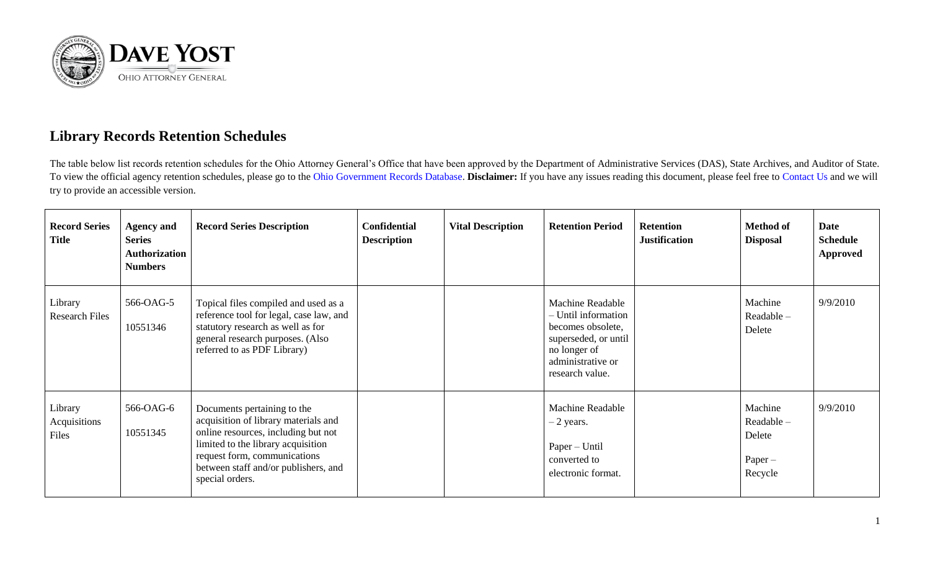

## **Library Records Retention Schedules**

The table below list records retention schedules for the Ohio Attorney General's Office that have been approved by the Department of Administrative Services (DAS), State Archives, and Auditor of State. To view the official agency retention schedules, please go to the [Ohio Government Records Database.](https://apps.das.ohio.gov/RIMS/GeneralSchedule) **Disclaimer:** If you have any issues reading this document, please feel free to [Contact Us](https://www.ohioattorneygeneral.gov/About-AG/Contact) and we will try to provide an accessible version.

| <b>Record Series</b><br><b>Title</b> | <b>Agency and</b><br><b>Series</b><br><b>Authorization</b><br><b>Numbers</b> | <b>Record Series Description</b>                                                                                                                                                                                                            | <b>Confidential</b><br><b>Description</b> | <b>Vital Description</b> | <b>Retention Period</b>                                                                                                                      | <b>Retention</b><br><b>Justification</b> | <b>Method of</b><br><b>Disposal</b>                     | Date<br><b>Schedule</b><br>Approved |
|--------------------------------------|------------------------------------------------------------------------------|---------------------------------------------------------------------------------------------------------------------------------------------------------------------------------------------------------------------------------------------|-------------------------------------------|--------------------------|----------------------------------------------------------------------------------------------------------------------------------------------|------------------------------------------|---------------------------------------------------------|-------------------------------------|
| Library<br><b>Research Files</b>     | 566-OAG-5<br>10551346                                                        | Topical files compiled and used as a<br>reference tool for legal, case law, and<br>statutory research as well as for<br>general research purposes. (Also<br>referred to as PDF Library)                                                     |                                           |                          | Machine Readable<br>- Until information<br>becomes obsolete,<br>superseded, or until<br>no longer of<br>administrative or<br>research value. |                                          | Machine<br>$Readable -$<br>Delete                       | 9/9/2010                            |
| Library<br>Acquisitions<br>Files     | 566-OAG-6<br>10551345                                                        | Documents pertaining to the<br>acquisition of library materials and<br>online resources, including but not<br>limited to the library acquisition<br>request form, communications<br>between staff and/or publishers, and<br>special orders. |                                           |                          | <b>Machine Readable</b><br>$-2$ years.<br>Paper - Until<br>converted to<br>electronic format.                                                |                                          | Machine<br>Readable -<br>Delete<br>$Paper -$<br>Recycle | 9/9/2010                            |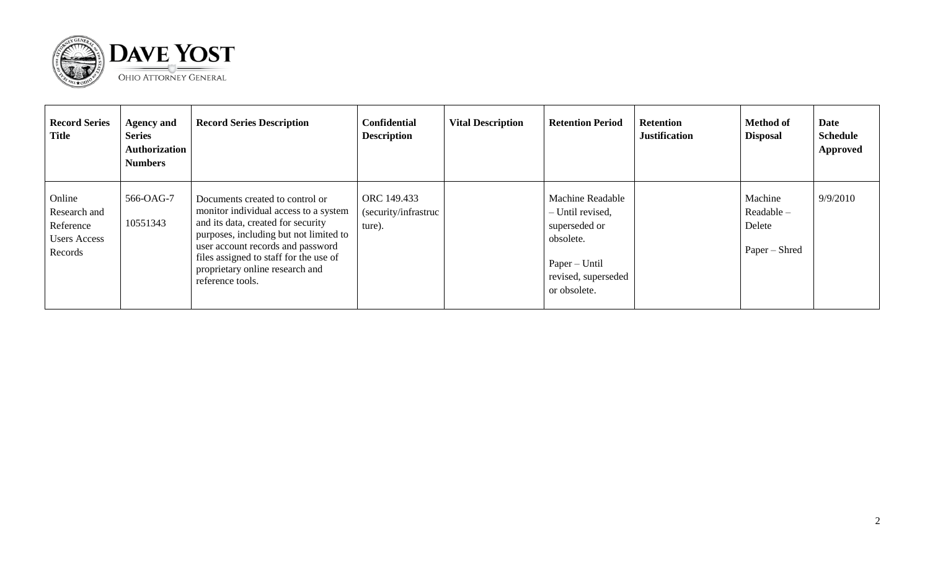

| <b>Record Series</b><br><b>Title</b>                                  | <b>Agency and</b><br><b>Series</b><br>Authorization<br><b>Numbers</b> | <b>Record Series Description</b>                                                                                                                                                                                                                                                               | <b>Confidential</b><br><b>Description</b>     | <b>Vital Description</b> | <b>Retention Period</b>                                                                                                           | <b>Retention</b><br><b>Justification</b> | <b>Method of</b><br><b>Disposal</b>                | <b>Date</b><br><b>Schedule</b><br><b>Approved</b> |
|-----------------------------------------------------------------------|-----------------------------------------------------------------------|------------------------------------------------------------------------------------------------------------------------------------------------------------------------------------------------------------------------------------------------------------------------------------------------|-----------------------------------------------|--------------------------|-----------------------------------------------------------------------------------------------------------------------------------|------------------------------------------|----------------------------------------------------|---------------------------------------------------|
| Online<br>Research and<br>Reference<br><b>Users Access</b><br>Records | 566-OAG-7<br>10551343                                                 | Documents created to control or<br>monitor individual access to a system<br>and its data, created for security<br>purposes, including but not limited to<br>user account records and password<br>files assigned to staff for the use of<br>proprietary online research and<br>reference tools. | ORC 149.433<br>(security/infrastruc<br>ture). |                          | <b>Machine Readable</b><br>- Until revised,<br>superseded or<br>obsolete.<br>Paper – Until<br>revised, superseded<br>or obsolete. |                                          | Machine<br>$Readable -$<br>Delete<br>Paper – Shred | 9/9/2010                                          |